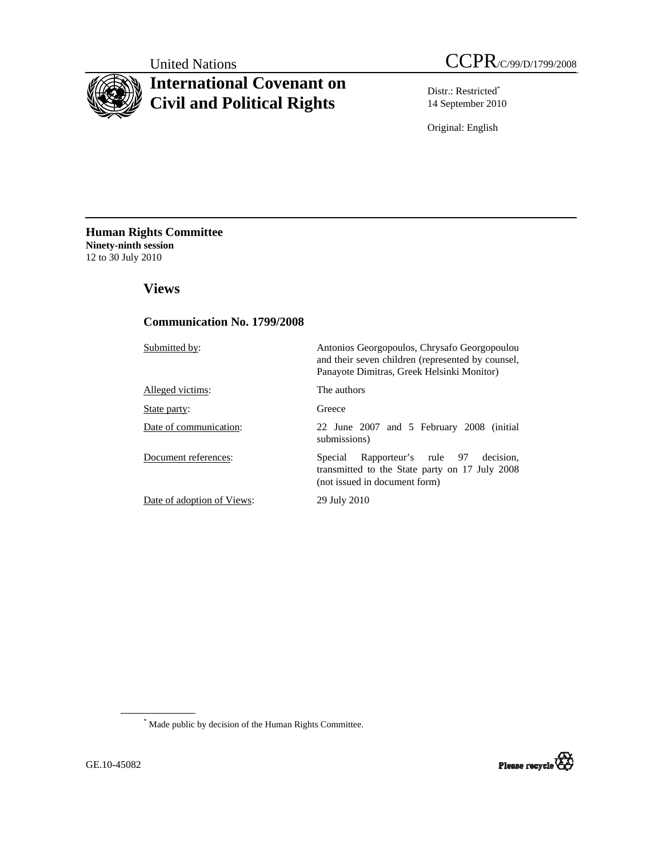# **International Covenant on Civil and Political Rights**

Distr.: Restricted\* 14 September 2010

Original: English

**Human Rights Committee Ninety-ninth session**  12 to 30 July 2010

 **Views** 

# **Communication No. 1799/2008**

Submitted by: Antonios Georgopoulos, Chrysafo Georgopoulou

Alleged victims: The authors

State party: Greece

Date of communication: 22 June 2007 and 5 February 2008 (initial submissions)

and their seven children (represented by counsel, Panayote Dimitras, Greek Helsinki Monitor)

Document references: Special Rapporteur's rule 97 decision, transmitted to the State party on 17 July 2008 (not issued in document form)

Date of adoption of Views: 29 July 2010

\* Made public by decision of the Human Rights Committee.

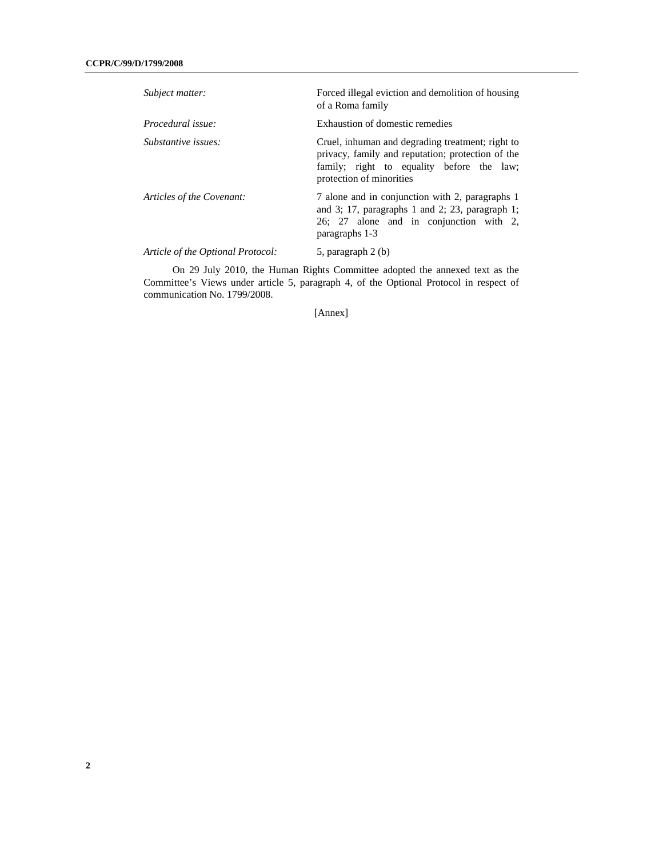| Subject matter:                   | Forced illegal eviction and demolition of housing<br>of a Roma family                                                                                                          |
|-----------------------------------|--------------------------------------------------------------------------------------------------------------------------------------------------------------------------------|
| Procedural issue:                 | Exhaustion of domestic remedies                                                                                                                                                |
| Substantive issues:               | Cruel, inhuman and degrading treatment; right to<br>privacy, family and reputation; protection of the<br>family; right to equality before the law;<br>protection of minorities |
| Articles of the Covenant:         | 7 alone and in conjunction with 2, paragraphs 1<br>and 3; 17, paragraphs 1 and 2; 23, paragraph 1;<br>26; 27 alone and in conjunction with 2,<br>paragraphs 1-3                |
| Article of the Optional Protocol: | 5, paragraph 2 (b)                                                                                                                                                             |

 On 29 July 2010, the Human Rights Committee adopted the annexed text as the Committee's Views under article 5, paragraph 4, of the Optional Protocol in respect of communication No. 1799/2008.

[Annex]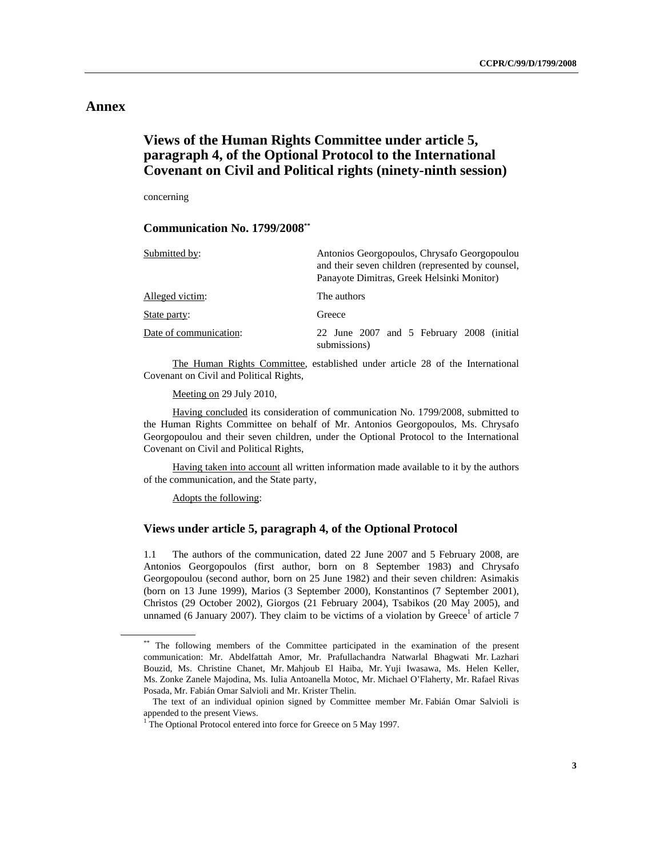# **Annex**

# **Views of the Human Rights Committee under article 5, paragraph 4, of the Optional Protocol to the International Covenant on Civil and Political rights (ninety-ninth session)**

concerning

## **Communication No. 1799/2008\*\***

| Submitted by:          | Antonios Georgopoulos, Chrysafo Georgopoulou<br>and their seven children (represented by counsel,<br>Panayote Dimitras, Greek Helsinki Monitor) |
|------------------------|-------------------------------------------------------------------------------------------------------------------------------------------------|
| Alleged victim:        | The authors                                                                                                                                     |
| State party:           | Greece                                                                                                                                          |
| Date of communication: | 22 June 2007 and 5 February 2008 (initial<br>submissions)                                                                                       |

 The Human Rights Committee, established under article 28 of the International Covenant on Civil and Political Rights,

Meeting on 29 July 2010,

 Having concluded its consideration of communication No. 1799/2008, submitted to the Human Rights Committee on behalf of Mr. Antonios Georgopoulos, Ms. Chrysafo Georgopoulou and their seven children, under the Optional Protocol to the International Covenant on Civil and Political Rights,

 Having taken into account all written information made available to it by the authors of the communication, and the State party,

Adopts the following:

# **Views under article 5, paragraph 4, of the Optional Protocol**

1.1 The authors of the communication, dated 22 June 2007 and 5 February 2008, are Antonios Georgopoulos (first author, born on 8 September 1983) and Chrysafo Georgopoulou (second author, born on 25 June 1982) and their seven children: Asimakis (born on 13 June 1999), Marios (3 September 2000), Konstantinos (7 September 2001), Christos (29 October 2002), Giorgos (21 February 2004), Tsabikos (20 May 2005), and unnamed (6 January 2007). They claim to be victims of a violation by Greece<sup>1</sup> of article 7

<sup>\*\*</sup> The following members of the Committee participated in the examination of the present communication: Mr. Abdelfattah Amor, Mr. Prafullachandra Natwarlal Bhagwati Mr. Lazhari Bouzid, Ms. Christine Chanet, Mr. Mahjoub El Haiba, Mr. Yuji Iwasawa, Ms. Helen Keller, Ms. Zonke Zanele Majodina, Ms. Iulia Antoanella Motoc, Mr. Michael O'Flaherty, Mr. Rafael Rivas Posada, Mr. Fabián Omar Salvioli and Mr. Krister Thelin.

The text of an individual opinion signed by Committee member Mr. Fabián Omar Salvioli is appended to the present Views.

<sup>&</sup>lt;sup>1</sup> The Optional Protocol entered into force for Greece on 5 May 1997.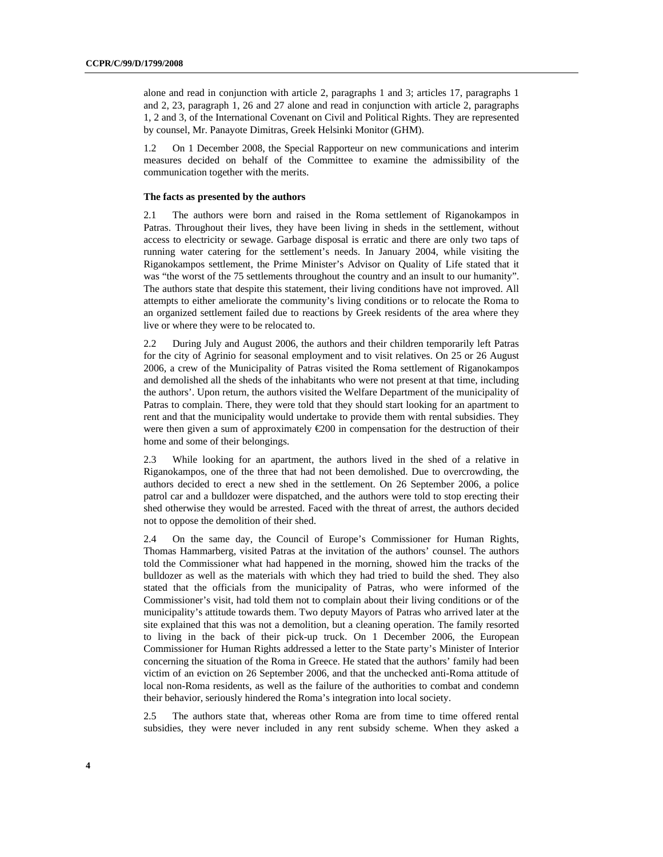alone and read in conjunction with article 2, paragraphs 1 and 3; articles 17, paragraphs 1 and 2, 23, paragraph 1, 26 and 27 alone and read in conjunction with article 2, paragraphs 1, 2 and 3, of the International Covenant on Civil and Political Rights. They are represented by counsel, Mr. Panayote Dimitras, Greek Helsinki Monitor (GHM).

1.2 On 1 December 2008, the Special Rapporteur on new communications and interim measures decided on behalf of the Committee to examine the admissibility of the communication together with the merits.

### **The facts as presented by the authors**

2.1 The authors were born and raised in the Roma settlement of Riganokampos in Patras. Throughout their lives, they have been living in sheds in the settlement, without access to electricity or sewage. Garbage disposal is erratic and there are only two taps of running water catering for the settlement's needs. In January 2004, while visiting the Riganokampos settlement, the Prime Minister's Advisor on Quality of Life stated that it was "the worst of the 75 settlements throughout the country and an insult to our humanity". The authors state that despite this statement, their living conditions have not improved. All attempts to either ameliorate the community's living conditions or to relocate the Roma to an organized settlement failed due to reactions by Greek residents of the area where they live or where they were to be relocated to.

2.2 During July and August 2006, the authors and their children temporarily left Patras for the city of Agrinio for seasonal employment and to visit relatives. On 25 or 26 August 2006, a crew of the Municipality of Patras visited the Roma settlement of Riganokampos and demolished all the sheds of the inhabitants who were not present at that time, including the authors'. Upon return, the authors visited the Welfare Department of the municipality of Patras to complain. There, they were told that they should start looking for an apartment to rent and that the municipality would undertake to provide them with rental subsidies. They were then given a sum of approximately €200 in compensation for the destruction of their home and some of their belongings.

2.3 While looking for an apartment, the authors lived in the shed of a relative in Riganokampos, one of the three that had not been demolished. Due to overcrowding, the authors decided to erect a new shed in the settlement. On 26 September 2006, a police patrol car and a bulldozer were dispatched, and the authors were told to stop erecting their shed otherwise they would be arrested. Faced with the threat of arrest, the authors decided not to oppose the demolition of their shed.

2.4 On the same day, the Council of Europe's Commissioner for Human Rights, Thomas Hammarberg, visited Patras at the invitation of the authors' counsel. The authors told the Commissioner what had happened in the morning, showed him the tracks of the bulldozer as well as the materials with which they had tried to build the shed. They also stated that the officials from the municipality of Patras, who were informed of the Commissioner's visit, had told them not to complain about their living conditions or of the municipality's attitude towards them. Two deputy Mayors of Patras who arrived later at the site explained that this was not a demolition, but a cleaning operation. The family resorted to living in the back of their pick-up truck. On 1 December 2006, the European Commissioner for Human Rights addressed a letter to the State party's Minister of Interior concerning the situation of the Roma in Greece. He stated that the authors' family had been victim of an eviction on 26 September 2006, and that the unchecked anti-Roma attitude of local non-Roma residents, as well as the failure of the authorities to combat and condemn their behavior, seriously hindered the Roma's integration into local society.

2.5 The authors state that, whereas other Roma are from time to time offered rental subsidies, they were never included in any rent subsidy scheme. When they asked a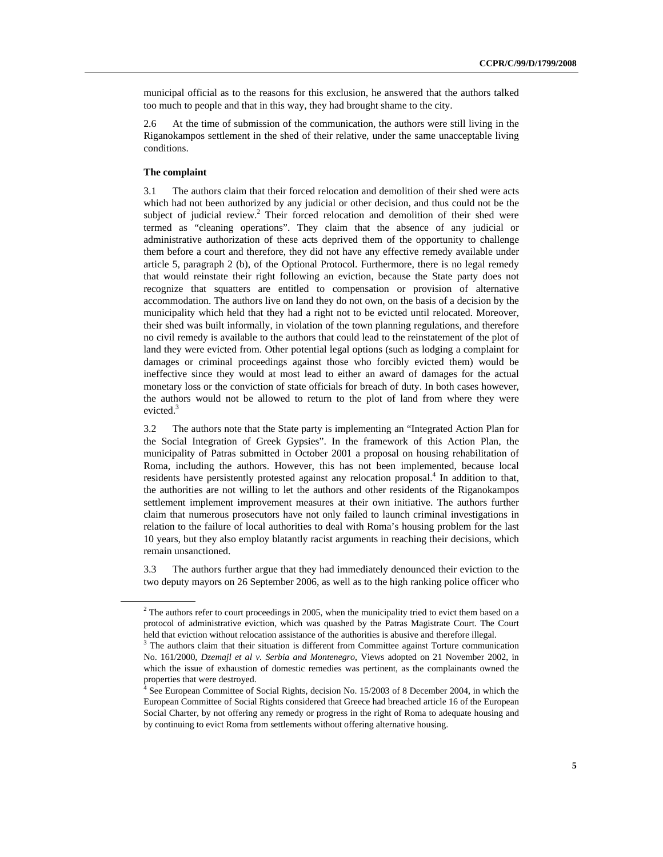municipal official as to the reasons for this exclusion, he answered that the authors talked too much to people and that in this way, they had brought shame to the city.

2.6 At the time of submission of the communication, the authors were still living in the Riganokampos settlement in the shed of their relative, under the same unacceptable living conditions.

## **The complaint**

3.1 The authors claim that their forced relocation and demolition of their shed were acts which had not been authorized by any judicial or other decision, and thus could not be the subject of judicial review.<sup>2</sup> Their forced relocation and demolition of their shed were termed as "cleaning operations". They claim that the absence of any judicial or administrative authorization of these acts deprived them of the opportunity to challenge them before a court and therefore, they did not have any effective remedy available under article 5, paragraph 2 (b), of the Optional Protocol. Furthermore, there is no legal remedy that would reinstate their right following an eviction, because the State party does not recognize that squatters are entitled to compensation or provision of alternative accommodation. The authors live on land they do not own, on the basis of a decision by the municipality which held that they had a right not to be evicted until relocated. Moreover, their shed was built informally, in violation of the town planning regulations, and therefore no civil remedy is available to the authors that could lead to the reinstatement of the plot of land they were evicted from. Other potential legal options (such as lodging a complaint for damages or criminal proceedings against those who forcibly evicted them) would be ineffective since they would at most lead to either an award of damages for the actual monetary loss or the conviction of state officials for breach of duty. In both cases however, the authors would not be allowed to return to the plot of land from where they were evicted.<sup>3</sup>

3.2 The authors note that the State party is implementing an "Integrated Action Plan for the Social Integration of Greek Gypsies". In the framework of this Action Plan, the municipality of Patras submitted in October 2001 a proposal on housing rehabilitation of Roma, including the authors. However, this has not been implemented, because local residents have persistently protested against any relocation proposal.<sup>4</sup> In addition to that, the authorities are not willing to let the authors and other residents of the Riganokampos settlement implement improvement measures at their own initiative. The authors further claim that numerous prosecutors have not only failed to launch criminal investigations in relation to the failure of local authorities to deal with Roma's housing problem for the last 10 years, but they also employ blatantly racist arguments in reaching their decisions, which remain unsanctioned.

3.3 The authors further argue that they had immediately denounced their eviction to the two deputy mayors on 26 September 2006, as well as to the high ranking police officer who

 $2^2$  The authors refer to court proceedings in 2005, when the municipality tried to evict them based on a protocol of administrative eviction, which was quashed by the Patras Magistrate Court. The Court held that eviction without relocation assistance of the authorities is abusive and therefore illegal.

 $3$  The authors claim that their situation is different from Committee against Torture communication No. 161/2000, *Dzemajl et al v. Serbia and Montenegro*, Views adopted on 21 November 2002, in which the issue of exhaustion of domestic remedies was pertinent, as the complainants owned the properties that were destroyed.

<sup>&</sup>lt;sup>4</sup> See European Committee of Social Rights, decision No. 15/2003 of 8 December 2004, in which the European Committee of Social Rights considered that Greece had breached article 16 of the European Social Charter, by not offering any remedy or progress in the right of Roma to adequate housing and by continuing to evict Roma from settlements without offering alternative housing.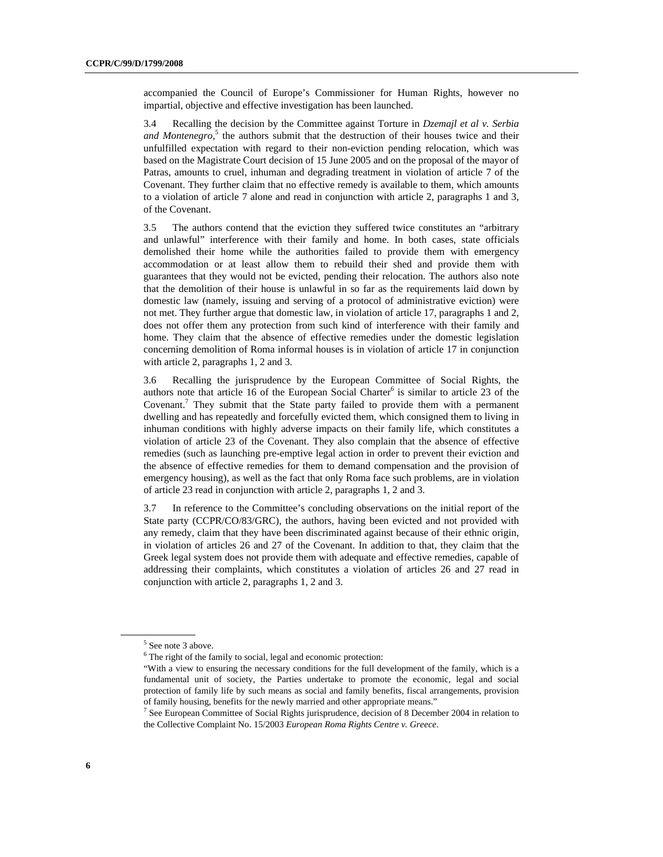accompanied the Council of Europe's Commissioner for Human Rights, however no impartial, objective and effective investigation has been launched.

3.4 Recalling the decision by the Committee against Torture in *Dzemajl et al v. Serbia*  and Montenegro,<sup>5</sup> the authors submit that the destruction of their houses twice and their unfulfilled expectation with regard to their non-eviction pending relocation, which was based on the Magistrate Court decision of 15 June 2005 and on the proposal of the mayor of Patras, amounts to cruel, inhuman and degrading treatment in violation of article 7 of the Covenant. They further claim that no effective remedy is available to them, which amounts to a violation of article 7 alone and read in conjunction with article 2, paragraphs 1 and 3, of the Covenant.

3.5 The authors contend that the eviction they suffered twice constitutes an "arbitrary and unlawful" interference with their family and home. In both cases, state officials demolished their home while the authorities failed to provide them with emergency accommodation or at least allow them to rebuild their shed and provide them with guarantees that they would not be evicted, pending their relocation. The authors also note that the demolition of their house is unlawful in so far as the requirements laid down by domestic law (namely, issuing and serving of a protocol of administrative eviction) were not met. They further argue that domestic law, in violation of article 17, paragraphs 1 and 2, does not offer them any protection from such kind of interference with their family and home. They claim that the absence of effective remedies under the domestic legislation concerning demolition of Roma informal houses is in violation of article 17 in conjunction with article 2, paragraphs 1, 2 and 3.

3.6 Recalling the jurisprudence by the European Committee of Social Rights, the authors note that article 16 of the European Social Charter $<sup>6</sup>$  is similar to article 23 of the</sup> Covenant.<sup>7</sup> They submit that the State party failed to provide them with a permanent dwelling and has repeatedly and forcefully evicted them, which consigned them to living in inhuman conditions with highly adverse impacts on their family life, which constitutes a violation of article 23 of the Covenant. They also complain that the absence of effective remedies (such as launching pre-emptive legal action in order to prevent their eviction and the absence of effective remedies for them to demand compensation and the provision of emergency housing), as well as the fact that only Roma face such problems, are in violation of article 23 read in conjunction with article 2, paragraphs 1, 2 and 3.

3.7 In reference to the Committee's concluding observations on the initial report of the State party (CCPR/CO/83/GRC), the authors, having been evicted and not provided with any remedy, claim that they have been discriminated against because of their ethnic origin, in violation of articles 26 and 27 of the Covenant. In addition to that, they claim that the Greek legal system does not provide them with adequate and effective remedies, capable of addressing their complaints, which constitutes a violation of articles 26 and 27 read in conjunction with article 2, paragraphs 1, 2 and 3.

<sup>5</sup> See note 3 above.

<sup>&</sup>lt;sup>6</sup> The right of the family to social, legal and economic protection:

<sup>&</sup>quot;With a view to ensuring the necessary conditions for the full development of the family, which is a fundamental unit of society, the Parties undertake to promote the economic, legal and social protection of family life by such means as social and family benefits, fiscal arrangements, provision of family housing, benefits for the newly married and other appropriate means."

<sup>&</sup>lt;sup>7</sup> See European Committee of Social Rights jurisprudence, decision of 8 December 2004 in relation to the Collective Complaint No. 15/2003 *European Roma Rights Centre v. Greece*.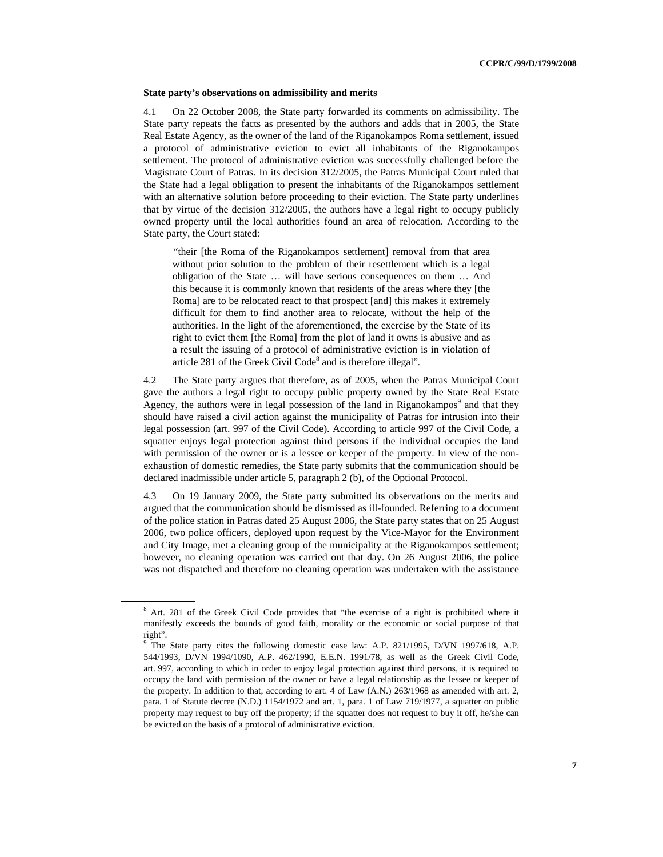#### **State party's observations on admissibility and merits**

4.1 On 22 October 2008, the State party forwarded its comments on admissibility. The State party repeats the facts as presented by the authors and adds that in 2005, the State Real Estate Agency, as the owner of the land of the Riganokampos Roma settlement, issued a protocol of administrative eviction to evict all inhabitants of the Riganokampos settlement. The protocol of administrative eviction was successfully challenged before the Magistrate Court of Patras. In its decision 312/2005, the Patras Municipal Court ruled that the State had a legal obligation to present the inhabitants of the Riganokampos settlement with an alternative solution before proceeding to their eviction. The State party underlines that by virtue of the decision 312/2005, the authors have a legal right to occupy publicly owned property until the local authorities found an area of relocation. According to the State party, the Court stated:

*"*their [the Roma of the Riganokampos settlement] removal from that area without prior solution to the problem of their resettlement which is a legal obligation of the State … will have serious consequences on them … And this because it is commonly known that residents of the areas where they [the Roma] are to be relocated react to that prospect [and] this makes it extremely difficult for them to find another area to relocate, without the help of the authorities. In the light of the aforementioned, the exercise by the State of its right to evict them [the Roma] from the plot of land it owns is abusive and as a result the issuing of a protocol of administrative eviction is in violation of article 281 of the Greek Civil Code<sup>8</sup> and is therefore illegal".

4.2 The State party argues that therefore, as of 2005, when the Patras Municipal Court gave the authors a legal right to occupy public property owned by the State Real Estate Agency, the authors were in legal possession of the land in Riganokampos $\degree$  and that they should have raised a civil action against the municipality of Patras for intrusion into their legal possession (art. 997 of the Civil Code). According to article 997 of the Civil Code, a squatter enjoys legal protection against third persons if the individual occupies the land with permission of the owner or is a lessee or keeper of the property. In view of the nonexhaustion of domestic remedies, the State party submits that the communication should be declared inadmissible under article 5, paragraph 2 (b), of the Optional Protocol.

4.3 On 19 January 2009, the State party submitted its observations on the merits and argued that the communication should be dismissed as ill-founded. Referring to a document of the police station in Patras dated 25 August 2006, the State party states that on 25 August 2006, two police officers, deployed upon request by the Vice-Mayor for the Environment and City Image, met a cleaning group of the municipality at the Riganokampos settlement; however, no cleaning operation was carried out that day. On 26 August 2006, the police was not dispatched and therefore no cleaning operation was undertaken with the assistance

<sup>&</sup>lt;sup>8</sup> Art. 281 of the Greek Civil Code provides that "the exercise of a right is prohibited where it manifestly exceeds the bounds of good faith, morality or the economic or social purpose of that right".

<sup>&</sup>lt;sup>9</sup> The State party cites the following domestic case law: A.P. 821/1995, D/VN 1997/618, A.P. 544/1993, D/VN 1994/1090, A.P. 462/1990, E.E.N. 1991/78, as well as the Greek Civil Code, art. 997, according to which in order to enjoy legal protection against third persons, it is required to occupy the land with permission of the owner or have a legal relationship as the lessee or keeper of the property. In addition to that, according to art. 4 of Law (A.N.) 263/1968 as amended with art. 2, para. 1 of Statute decree (N.D.) 1154/1972 and art. 1, para. 1 of Law 719/1977, a squatter on public property may request to buy off the property; if the squatter does not request to buy it off, he/she can be evicted on the basis of a protocol of administrative eviction.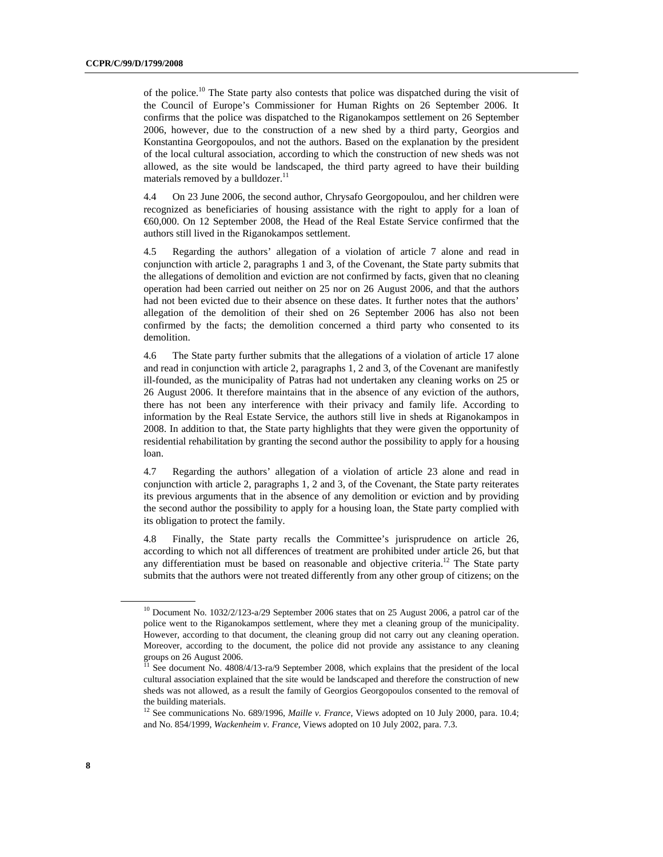of the police.<sup>10</sup> The State party also contests that police was dispatched during the visit of the Council of Europe's Commissioner for Human Rights on 26 September 2006. It confirms that the police was dispatched to the Riganokampos settlement on 26 September 2006, however, due to the construction of a new shed by a third party, Georgios and Konstantina Georgopoulos, and not the authors. Based on the explanation by the president of the local cultural association, according to which the construction of new sheds was not allowed, as the site would be landscaped, the third party agreed to have their building materials removed by a bulldozer.<sup>11</sup>

4.4 On 23 June 2006, the second author, Chrysafo Georgopoulou, and her children were recognized as beneficiaries of housing assistance with the right to apply for a loan of €60,000. On 12 September 2008, the Head of the Real Estate Service confirmed that the authors still lived in the Riganokampos settlement.

4.5 Regarding the authors' allegation of a violation of article 7 alone and read in conjunction with article 2, paragraphs 1 and 3, of the Covenant, the State party submits that the allegations of demolition and eviction are not confirmed by facts, given that no cleaning operation had been carried out neither on 25 nor on 26 August 2006, and that the authors had not been evicted due to their absence on these dates. It further notes that the authors' allegation of the demolition of their shed on 26 September 2006 has also not been confirmed by the facts; the demolition concerned a third party who consented to its demolition.

4.6 The State party further submits that the allegations of a violation of article 17 alone and read in conjunction with article 2, paragraphs 1, 2 and 3, of the Covenant are manifestly ill-founded, as the municipality of Patras had not undertaken any cleaning works on 25 or 26 August 2006. It therefore maintains that in the absence of any eviction of the authors, there has not been any interference with their privacy and family life. According to information by the Real Estate Service, the authors still live in sheds at Riganokampos in 2008. In addition to that, the State party highlights that they were given the opportunity of residential rehabilitation by granting the second author the possibility to apply for a housing loan.

4.7 Regarding the authors' allegation of a violation of article 23 alone and read in conjunction with article 2, paragraphs 1, 2 and 3, of the Covenant, the State party reiterates its previous arguments that in the absence of any demolition or eviction and by providing the second author the possibility to apply for a housing loan, the State party complied with its obligation to protect the family.

4.8 Finally, the State party recalls the Committee's jurisprudence on article 26, according to which not all differences of treatment are prohibited under article 26, but that any differentiation must be based on reasonable and objective criteria.<sup>12</sup> The State party submits that the authors were not treated differently from any other group of citizens; on the

<sup>&</sup>lt;sup>10</sup> Document No. 1032/2/123-a/29 September 2006 states that on 25 August 2006, a patrol car of the police went to the Riganokampos settlement, where they met a cleaning group of the municipality. However, according to that document, the cleaning group did not carry out any cleaning operation. Moreover, according to the document, the police did not provide any assistance to any cleaning groups on 26 August 2006.

<sup>&</sup>lt;sup>11</sup> See document No. 4808/4/13-ra/9 September 2008, which explains that the president of the local cultural association explained that the site would be landscaped and therefore the construction of new sheds was not allowed, as a result the family of Georgios Georgopoulos consented to the removal of the building materials.

<sup>12</sup> See communications No. 689/1996, *Maille v. France*, Views adopted on 10 July 2000, para. 10.4; and No. 854/1999, *Wackenheim v. France*, Views adopted on 10 July 2002, para. 7.3.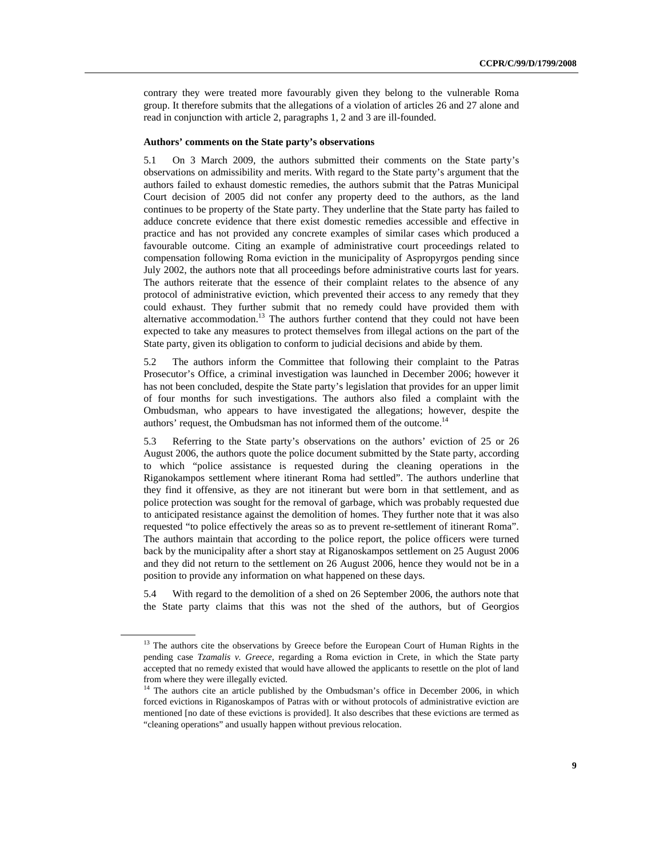contrary they were treated more favourably given they belong to the vulnerable Roma group. It therefore submits that the allegations of a violation of articles 26 and 27 alone and read in conjunction with article 2, paragraphs 1, 2 and 3 are ill-founded.

#### **Authors' comments on the State party's observations**

5.1 On 3 March 2009, the authors submitted their comments on the State party's observations on admissibility and merits. With regard to the State party's argument that the authors failed to exhaust domestic remedies, the authors submit that the Patras Municipal Court decision of 2005 did not confer any property deed to the authors, as the land continues to be property of the State party. They underline that the State party has failed to adduce concrete evidence that there exist domestic remedies accessible and effective in practice and has not provided any concrete examples of similar cases which produced a favourable outcome. Citing an example of administrative court proceedings related to compensation following Roma eviction in the municipality of Aspropyrgos pending since July 2002, the authors note that all proceedings before administrative courts last for years. The authors reiterate that the essence of their complaint relates to the absence of any protocol of administrative eviction, which prevented their access to any remedy that they could exhaust. They further submit that no remedy could have provided them with alternative accommodation.<sup>13</sup> The authors further contend that they could not have been expected to take any measures to protect themselves from illegal actions on the part of the State party, given its obligation to conform to judicial decisions and abide by them.

5.2 The authors inform the Committee that following their complaint to the Patras Prosecutor's Office, a criminal investigation was launched in December 2006; however it has not been concluded, despite the State party's legislation that provides for an upper limit of four months for such investigations. The authors also filed a complaint with the Ombudsman, who appears to have investigated the allegations; however, despite the authors' request, the Ombudsman has not informed them of the outcome.<sup>14</sup>

5.3 Referring to the State party's observations on the authors' eviction of 25 or 26 August 2006, the authors quote the police document submitted by the State party, according to which "police assistance is requested during the cleaning operations in the Riganokampos settlement where itinerant Roma had settled". The authors underline that they find it offensive, as they are not itinerant but were born in that settlement, and as police protection was sought for the removal of garbage, which was probably requested due to anticipated resistance against the demolition of homes. They further note that it was also requested "to police effectively the areas so as to prevent re-settlement of itinerant Roma". The authors maintain that according to the police report, the police officers were turned back by the municipality after a short stay at Riganoskampos settlement on 25 August 2006 and they did not return to the settlement on 26 August 2006, hence they would not be in a position to provide any information on what happened on these days.

5.4 With regard to the demolition of a shed on 26 September 2006, the authors note that the State party claims that this was not the shed of the authors, but of Georgios

<sup>&</sup>lt;sup>13</sup> The authors cite the observations by Greece before the European Court of Human Rights in the pending case *Tzamalis v. Greece*, regarding a Roma eviction in Crete, in which the State party accepted that no remedy existed that would have allowed the applicants to resettle on the plot of land from where they were illegally evicted.

<sup>&</sup>lt;sup>14</sup> The authors cite an article published by the Ombudsman's office in December 2006, in which forced evictions in Riganoskampos of Patras with or without protocols of administrative eviction are mentioned [no date of these evictions is provided]. It also describes that these evictions are termed as "cleaning operations" and usually happen without previous relocation.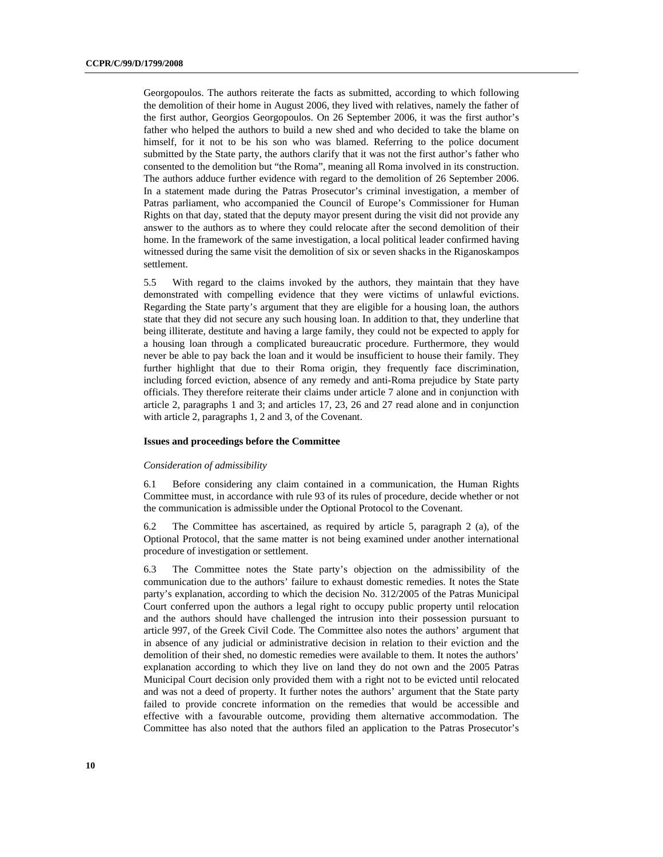Georgopoulos. The authors reiterate the facts as submitted, according to which following the demolition of their home in August 2006, they lived with relatives, namely the father of the first author, Georgios Georgopoulos. On 26 September 2006, it was the first author's father who helped the authors to build a new shed and who decided to take the blame on himself, for it not to be his son who was blamed. Referring to the police document submitted by the State party, the authors clarify that it was not the first author's father who consented to the demolition but "the Roma", meaning all Roma involved in its construction. The authors adduce further evidence with regard to the demolition of 26 September 2006. In a statement made during the Patras Prosecutor's criminal investigation, a member of Patras parliament, who accompanied the Council of Europe's Commissioner for Human Rights on that day, stated that the deputy mayor present during the visit did not provide any answer to the authors as to where they could relocate after the second demolition of their home. In the framework of the same investigation, a local political leader confirmed having witnessed during the same visit the demolition of six or seven shacks in the Riganoskampos settlement.

5.5 With regard to the claims invoked by the authors, they maintain that they have demonstrated with compelling evidence that they were victims of unlawful evictions. Regarding the State party's argument that they are eligible for a housing loan, the authors state that they did not secure any such housing loan. In addition to that, they underline that being illiterate, destitute and having a large family, they could not be expected to apply for a housing loan through a complicated bureaucratic procedure. Furthermore, they would never be able to pay back the loan and it would be insufficient to house their family. They further highlight that due to their Roma origin, they frequently face discrimination, including forced eviction, absence of any remedy and anti-Roma prejudice by State party officials. They therefore reiterate their claims under article 7 alone and in conjunction with article 2, paragraphs 1 and 3; and articles 17, 23, 26 and 27 read alone and in conjunction with article 2, paragraphs 1, 2 and 3, of the Covenant.

#### **Issues and proceedings before the Committee**

#### *Consideration of admissibility*

6.1 Before considering any claim contained in a communication, the Human Rights Committee must, in accordance with rule 93 of its rules of procedure, decide whether or not the communication is admissible under the Optional Protocol to the Covenant.

6.2 The Committee has ascertained, as required by article 5, paragraph 2 (a), of the Optional Protocol, that the same matter is not being examined under another international procedure of investigation or settlement.

6.3 The Committee notes the State party's objection on the admissibility of the communication due to the authors' failure to exhaust domestic remedies. It notes the State party's explanation, according to which the decision No. 312/2005 of the Patras Municipal Court conferred upon the authors a legal right to occupy public property until relocation and the authors should have challenged the intrusion into their possession pursuant to article 997, of the Greek Civil Code. The Committee also notes the authors' argument that in absence of any judicial or administrative decision in relation to their eviction and the demolition of their shed, no domestic remedies were available to them. It notes the authors' explanation according to which they live on land they do not own and the 2005 Patras Municipal Court decision only provided them with a right not to be evicted until relocated and was not a deed of property. It further notes the authors' argument that the State party failed to provide concrete information on the remedies that would be accessible and effective with a favourable outcome, providing them alternative accommodation. The Committee has also noted that the authors filed an application to the Patras Prosecutor's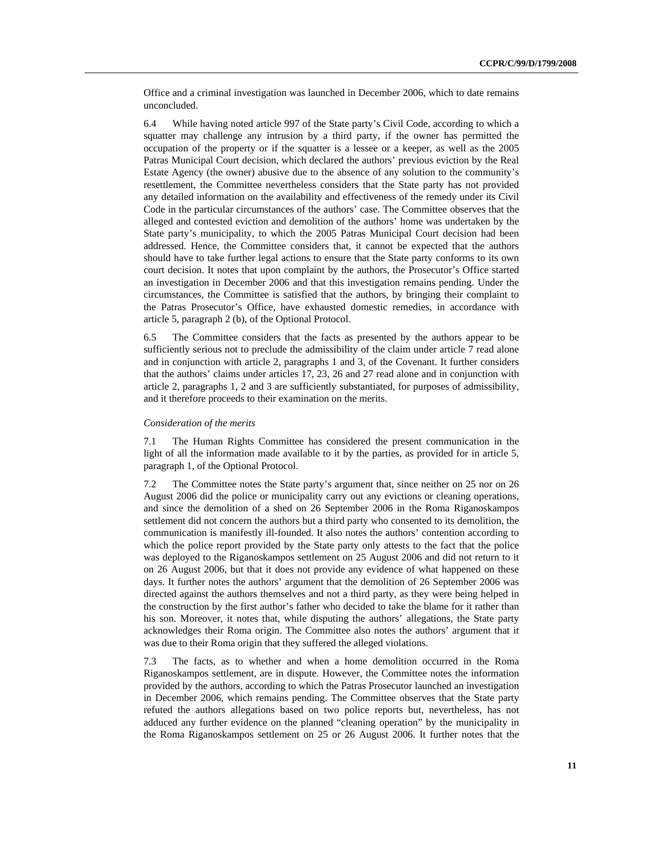Office and a criminal investigation was launched in December 2006, which to date remains unconcluded.

6.4 While having noted article 997 of the State party's Civil Code, according to which a squatter may challenge any intrusion by a third party, if the owner has permitted the occupation of the property or if the squatter is a lessee or a keeper, as well as the 2005 Patras Municipal Court decision, which declared the authors' previous eviction by the Real Estate Agency (the owner) abusive due to the absence of any solution to the community's resettlement, the Committee nevertheless considers that the State party has not provided any detailed information on the availability and effectiveness of the remedy under its Civil Code in the particular circumstances of the authors' case. The Committee observes that the alleged and contested eviction and demolition of the authors' home was undertaken by the State party's municipality, to which the 2005 Patras Municipal Court decision had been addressed. Hence, the Committee considers that, it cannot be expected that the authors should have to take further legal actions to ensure that the State party conforms to its own court decision. It notes that upon complaint by the authors, the Prosecutor's Office started an investigation in December 2006 and that this investigation remains pending. Under the circumstances, the Committee is satisfied that the authors, by bringing their complaint to the Patras Prosecutor's Office, have exhausted domestic remedies, in accordance with article 5, paragraph 2 (b), of the Optional Protocol.

6.5 The Committee considers that the facts as presented by the authors appear to be sufficiently serious not to preclude the admissibility of the claim under article 7 read alone and in conjunction with article 2, paragraphs 1 and 3, of the Covenant. It further considers that the authors' claims under articles 17, 23, 26 and 27 read alone and in conjunction with article 2, paragraphs 1, 2 and 3 are sufficiently substantiated, for purposes of admissibility, and it therefore proceeds to their examination on the merits.

## *Consideration of the merits*

7.1 The Human Rights Committee has considered the present communication in the light of all the information made available to it by the parties, as provided for in article 5, paragraph 1, of the Optional Protocol.

7.2 The Committee notes the State party's argument that, since neither on 25 nor on 26 August 2006 did the police or municipality carry out any evictions or cleaning operations, and since the demolition of a shed on 26 September 2006 in the Roma Riganoskampos settlement did not concern the authors but a third party who consented to its demolition, the communication is manifestly ill-founded. It also notes the authors' contention according to which the police report provided by the State party only attests to the fact that the police was deployed to the Riganoskampos settlement on 25 August 2006 and did not return to it on 26 August 2006, but that it does not provide any evidence of what happened on these days. It further notes the authors' argument that the demolition of 26 September 2006 was directed against the authors themselves and not a third party, as they were being helped in the construction by the first author's father who decided to take the blame for it rather than his son. Moreover, it notes that, while disputing the authors' allegations, the State party acknowledges their Roma origin. The Committee also notes the authors' argument that it was due to their Roma origin that they suffered the alleged violations.

7.3 The facts, as to whether and when a home demolition occurred in the Roma Riganoskampos settlement, are in dispute. However, the Committee notes the information provided by the authors, according to which the Patras Prosecutor launched an investigation in December 2006, which remains pending. The Committee observes that the State party refuted the authors allegations based on two police reports but, nevertheless, has not adduced any further evidence on the planned "cleaning operation" by the municipality in the Roma Riganoskampos settlement on 25 or 26 August 2006. It further notes that the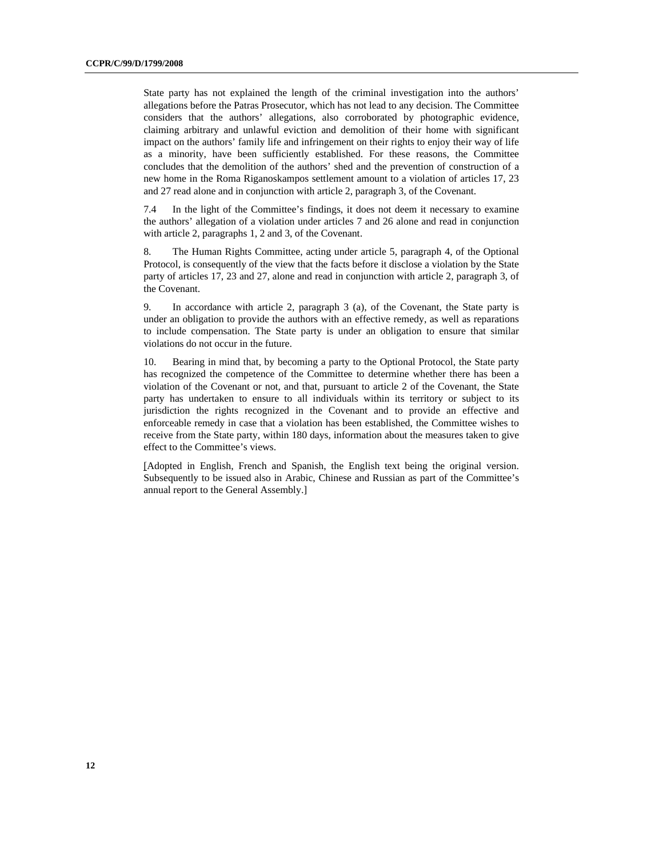State party has not explained the length of the criminal investigation into the authors' allegations before the Patras Prosecutor, which has not lead to any decision. The Committee considers that the authors' allegations, also corroborated by photographic evidence, claiming arbitrary and unlawful eviction and demolition of their home with significant impact on the authors' family life and infringement on their rights to enjoy their way of life as a minority, have been sufficiently established. For these reasons, the Committee concludes that the demolition of the authors' shed and the prevention of construction of a new home in the Roma Riganoskampos settlement amount to a violation of articles 17, 23 and 27 read alone and in conjunction with article 2, paragraph 3, of the Covenant.

7.4 In the light of the Committee's findings, it does not deem it necessary to examine the authors' allegation of a violation under articles 7 and 26 alone and read in conjunction with article 2, paragraphs 1, 2 and 3, of the Covenant.

8. The Human Rights Committee, acting under article 5, paragraph 4, of the Optional Protocol, is consequently of the view that the facts before it disclose a violation by the State party of articles 17, 23 and 27, alone and read in conjunction with article 2, paragraph 3, of the Covenant.

9. In accordance with article 2, paragraph 3 (a), of the Covenant, the State party is under an obligation to provide the authors with an effective remedy, as well as reparations to include compensation. The State party is under an obligation to ensure that similar violations do not occur in the future.

10. Bearing in mind that, by becoming a party to the Optional Protocol, the State party has recognized the competence of the Committee to determine whether there has been a violation of the Covenant or not, and that, pursuant to article 2 of the Covenant, the State party has undertaken to ensure to all individuals within its territory or subject to its jurisdiction the rights recognized in the Covenant and to provide an effective and enforceable remedy in case that a violation has been established, the Committee wishes to receive from the State party, within 180 days, information about the measures taken to give effect to the Committee's views.

[Adopted in English, French and Spanish, the English text being the original version. Subsequently to be issued also in Arabic, Chinese and Russian as part of the Committee's annual report to the General Assembly.]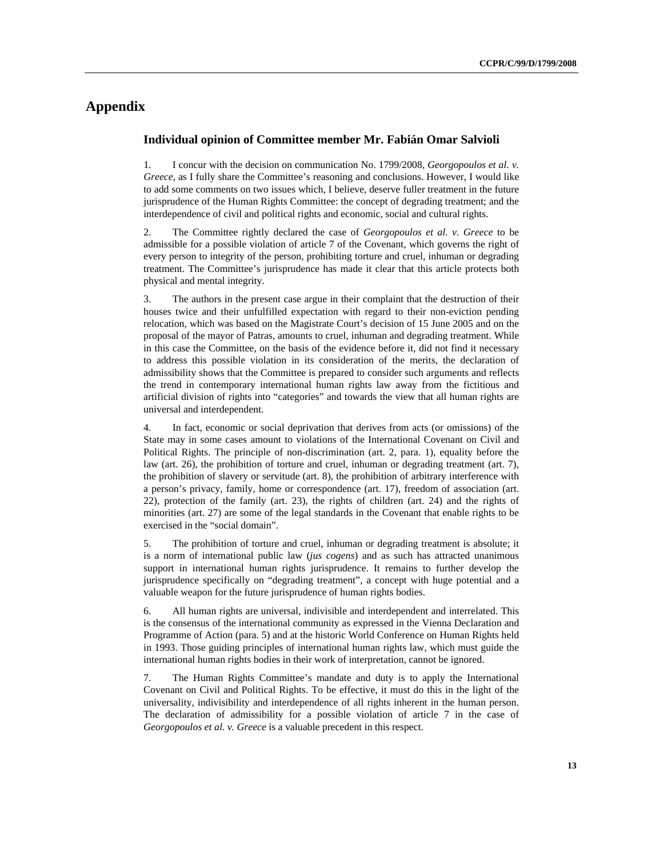# **Appendix**

## **Individual opinion of Committee member Mr. Fabián Omar Salvioli**

1. I concur with the decision on communication No. 1799/2008, *Georgopoulos et al. v. Greece*, as I fully share the Committee's reasoning and conclusions. However, I would like to add some comments on two issues which, I believe, deserve fuller treatment in the future jurisprudence of the Human Rights Committee: the concept of degrading treatment; and the interdependence of civil and political rights and economic, social and cultural rights.

2. The Committee rightly declared the case of *Georgopoulos et al. v. Greece* to be admissible for a possible violation of article 7 of the Covenant, which governs the right of every person to integrity of the person, prohibiting torture and cruel, inhuman or degrading treatment. The Committee's jurisprudence has made it clear that this article protects both physical and mental integrity.

3. The authors in the present case argue in their complaint that the destruction of their houses twice and their unfulfilled expectation with regard to their non-eviction pending relocation, which was based on the Magistrate Court's decision of 15 June 2005 and on the proposal of the mayor of Patras, amounts to cruel, inhuman and degrading treatment. While in this case the Committee, on the basis of the evidence before it, did not find it necessary to address this possible violation in its consideration of the merits, the declaration of admissibility shows that the Committee is prepared to consider such arguments and reflects the trend in contemporary international human rights law away from the fictitious and artificial division of rights into "categories" and towards the view that all human rights are universal and interdependent.

4. In fact, economic or social deprivation that derives from acts (or omissions) of the State may in some cases amount to violations of the International Covenant on Civil and Political Rights. The principle of non-discrimination (art. 2, para. 1), equality before the law (art. 26), the prohibition of torture and cruel, inhuman or degrading treatment (art. 7), the prohibition of slavery or servitude (art. 8), the prohibition of arbitrary interference with a person's privacy, family, home or correspondence (art. 17), freedom of association (art. 22), protection of the family (art. 23), the rights of children (art. 24) and the rights of minorities (art. 27) are some of the legal standards in the Covenant that enable rights to be exercised in the "social domain".

5. The prohibition of torture and cruel, inhuman or degrading treatment is absolute; it is a norm of international public law (*jus cogens*) and as such has attracted unanimous support in international human rights jurisprudence. It remains to further develop the jurisprudence specifically on "degrading treatment", a concept with huge potential and a valuable weapon for the future jurisprudence of human rights bodies.

6. All human rights are universal, indivisible and interdependent and interrelated. This is the consensus of the international community as expressed in the Vienna Declaration and Programme of Action (para. 5) and at the historic World Conference on Human Rights held in 1993. Those guiding principles of international human rights law, which must guide the international human rights bodies in their work of interpretation, cannot be ignored.

7. The Human Rights Committee's mandate and duty is to apply the International Covenant on Civil and Political Rights. To be effective, it must do this in the light of the universality, indivisibility and interdependence of all rights inherent in the human person. The declaration of admissibility for a possible violation of article 7 in the case of *Georgopoulos et al. v. Greece* is a valuable precedent in this respect.